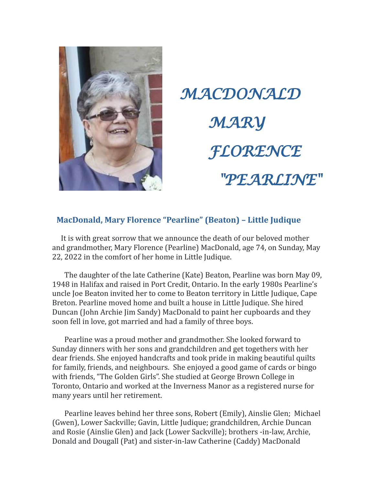

*MACDONALD MARY FLORENCE "PEARLINE"*

## **MacDonald, Mary Florence "Pearline" (Beaton) – Little Judique**

 It is with great sorrow that we announce the death of our beloved mother and grandmother, Mary Florence (Pearline) MacDonald, age 74, on Sunday, May 22, 2022 in the comfort of her home in Little Judique.

 The daughter of the late Catherine (Kate) Beaton, Pearline was born May 09, 1948 in Halifax and raised in Port Credit, Ontario. In the early 1980s Pearline's uncle Joe Beaton invited her to come to Beaton territory in Little Judique, Cape Breton. Pearline moved home and built a house in Little Judique. She hired Duncan (John Archie Jim Sandy) MacDonald to paint her cupboards and they soon fell in love, got married and had a family of three boys.

 Pearline was a proud mother and grandmother. She looked forward to Sunday dinners with her sons and grandchildren and get togethers with her dear friends. She enjoyed handcrafts and took pride in making beautiful quilts for family, friends, and neighbours. She enjoyed a good game of cards or bingo with friends, "The Golden Girls". She studied at George Brown College in Toronto, Ontario and worked at the Inverness Manor as a registered nurse for many years until her retirement.

 Pearline leaves behind her three sons, Robert (Emily), Ainslie Glen; Michael (Gwen), Lower Sackville; Gavin, Little Judique; grandchildren, Archie Duncan and Rosie (Ainslie Glen) and Jack (Lower Sackville); brothers -in-law, Archie, Donald and Dougall (Pat) and sister-in-law Catherine (Caddy) MacDonald